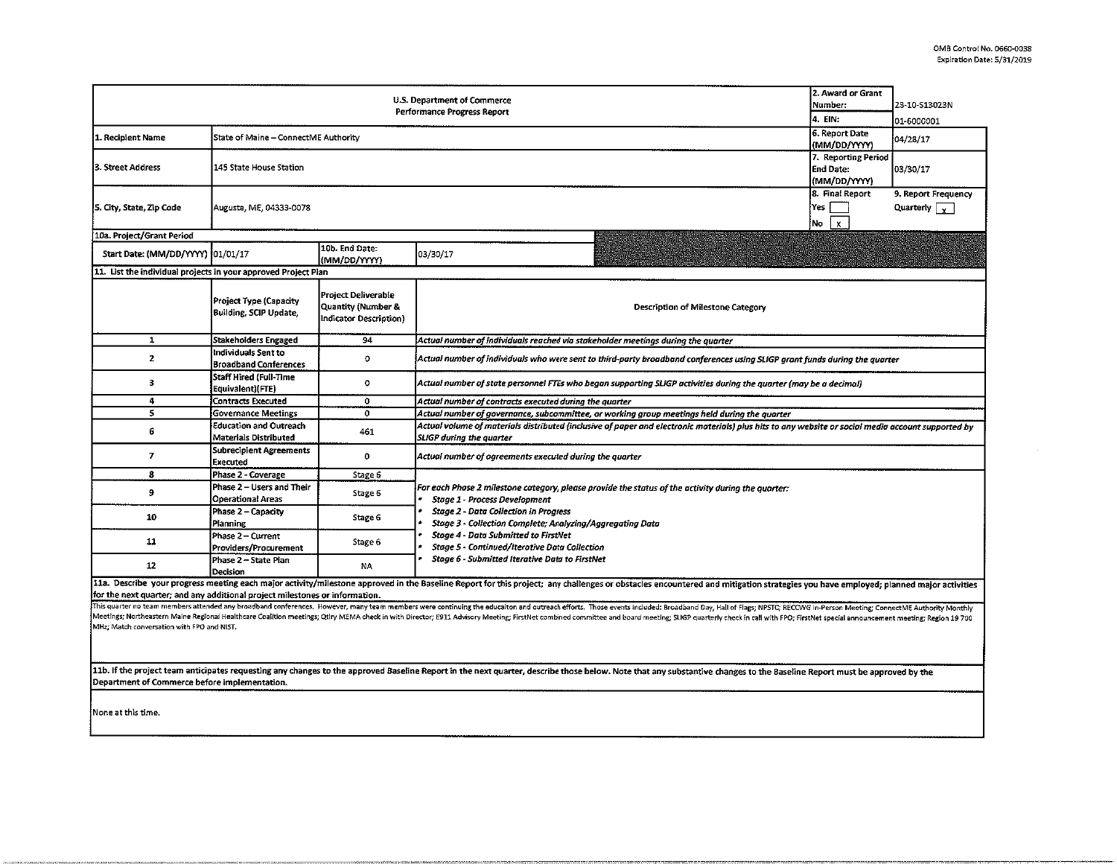|                                                                | 2. Award or Grant<br>Number:                                                                                                                                                      | 23-10-S13023N                                                              |                                                                                                                                                                                                                                |  |  |  |  |  |  |
|----------------------------------------------------------------|-----------------------------------------------------------------------------------------------------------------------------------------------------------------------------------|----------------------------------------------------------------------------|--------------------------------------------------------------------------------------------------------------------------------------------------------------------------------------------------------------------------------|--|--|--|--|--|--|
|                                                                | 4. EIN:<br>6. Report Date                                                                                                                                                         | 01-6000001<br>04/28/17                                                     |                                                                                                                                                                                                                                |  |  |  |  |  |  |
| 1. Recipient Name                                              | State of Maine - ConnectME Authority                                                                                                                                              |                                                                            |                                                                                                                                                                                                                                |  |  |  |  |  |  |
| 3. Street Address                                              | 145 State House Station                                                                                                                                                           | <b>End Date:</b><br>(MM/DD/YYYY)                                           |                                                                                                                                                                                                                                |  |  |  |  |  |  |
| 5. City, State, Zip Code                                       | Augusta, ME, 04333-0078                                                                                                                                                           | 8. Final Report<br>Yes<br>∣x.<br>No                                        | 9. Report Frequency<br>Quarterly $\sqrt{y}$                                                                                                                                                                                    |  |  |  |  |  |  |
| 10a. Project/Grant Period                                      |                                                                                                                                                                                   |                                                                            |                                                                                                                                                                                                                                |  |  |  |  |  |  |
| Start Date: (MM/DD/YYYY) 01/01/17                              |                                                                                                                                                                                   | 10b. End Date:<br>(MM/DD/YYYY)                                             | 03/30/17                                                                                                                                                                                                                       |  |  |  |  |  |  |
| 11. List the individual projects in your approved Project Plan |                                                                                                                                                                                   |                                                                            |                                                                                                                                                                                                                                |  |  |  |  |  |  |
|                                                                | Project Type (Capacity<br>Building, SCIP Update,                                                                                                                                  | <b>Project Deliverable</b><br>Quantity (Number &<br>Indicator Description) | <b>Description of Milestone Category</b>                                                                                                                                                                                       |  |  |  |  |  |  |
| $\mathbf{1}$                                                   | Stakeholders Engaged                                                                                                                                                              | 94                                                                         | Actual number of individuals reached via stakeholder meetings during the quarter                                                                                                                                               |  |  |  |  |  |  |
| $\mathbf{z}$                                                   | Individuals Sent to<br>Broadband Conferences                                                                                                                                      | $\circ$                                                                    | Actual number of individuals who were sent to third-party broadband conferences using SLIGP grant funds during the quarter                                                                                                     |  |  |  |  |  |  |
| 3                                                              | <b>Staff Hired (Full-Time</b><br>$\circ$<br>Actual number of state personnel FTEs who began supporting SLIGP activities during the guarter (may be a decimal)<br>Equivalent)(FTE) |                                                                            |                                                                                                                                                                                                                                |  |  |  |  |  |  |
| 4                                                              | <b>Contracts Executed</b>                                                                                                                                                         | $\bullet$                                                                  | Actual number of contracts executed during the quarter                                                                                                                                                                         |  |  |  |  |  |  |
| 5                                                              | <b>Governance Meetings</b>                                                                                                                                                        | $\mathbf{o}$                                                               | Actual number of governance, subcommittee, or working group meetings held during the quarter                                                                                                                                   |  |  |  |  |  |  |
| 6                                                              | <b>Education and Outreach</b><br><b>Materials Distributed</b>                                                                                                                     | 461                                                                        | Actual volume of materials distributed (inclusive of paper and electronic materials) plus hits to any website or social media account supported by<br>SLIGP during the quarter                                                 |  |  |  |  |  |  |
| 7                                                              | Subrecipient Agreements<br>Executed                                                                                                                                               | $\Omega$                                                                   | Actual number of agreements executed during the quarter                                                                                                                                                                        |  |  |  |  |  |  |
| 8                                                              | Phase 2 - Coverage                                                                                                                                                                | Stage 6                                                                    |                                                                                                                                                                                                                                |  |  |  |  |  |  |
| 9                                                              | Phase 2 - Users and Their<br><b>Operational Areas</b>                                                                                                                             | Stage 6                                                                    | For each Phase 2 milestone category, please provide the status of the activity during the quarter:<br>Stage 1 - Process Development                                                                                            |  |  |  |  |  |  |
| 10                                                             | Phase 2 - Capacity<br>Planning                                                                                                                                                    | Stage 6                                                                    | <b>Stage 2 - Data Collection in Progress</b><br>Stage 3 - Collection Complete; Analyzing/Aggregating Data                                                                                                                      |  |  |  |  |  |  |
| 11                                                             | Phase 2 - Current<br>Providers/Procurement                                                                                                                                        | Stage 6                                                                    | Stage 4 - Data Submitted to FirstNet<br>Stage 5 - Continued/Iterative Data Collection                                                                                                                                          |  |  |  |  |  |  |
| 12                                                             | Phase 2 - State Plan<br>Decision                                                                                                                                                  | NA                                                                         | Stage 6 - Submitted Iterative Data to FirstNet                                                                                                                                                                                 |  |  |  |  |  |  |
|                                                                |                                                                                                                                                                                   | .                                                                          | 11a. Describe your progress meeting each major activity/milestone approved in the Baseline Report for this project; any challenges or obstacles encountered and mitigation strategies you have employed; planned major activit |  |  |  |  |  |  |

for the next quarter; and any additional project milestones or information.<br>This quarter no team members attended any broadband conferences. However, many team members were continuing the education and outreach efforts. Th Meetings; Northeastern Maine Regional Healthcare Coalition meetings; Qtlry MEMA check in with Director; E911 Advisory Meeting; FirstNet combined committee and board meeting; SLIGP quarterly check in call with FPO; FirstNet MHz; Match conversation with FPO and NIST.

11b. If the project team anticipates requesting any changes to the approved Baseline Report in the next quarter, describe those below. Note that any substantive changes to the Baseline Report must be approved by the Department of Commerce before implementation.

None at this time.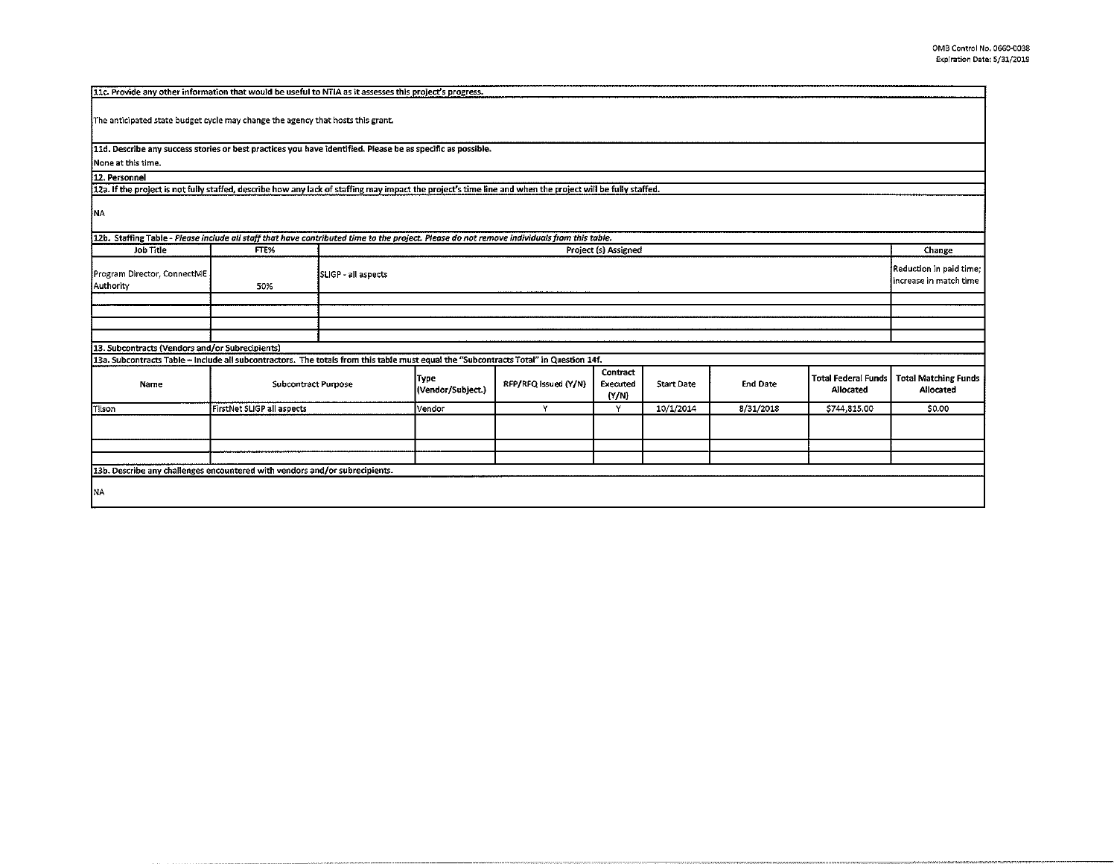| 11c. Provide any other information that would be useful to NTIA as it assesses this project's progress.                                                    |                            |                     |                                  |                      |                                      |                   |                 |                                         |                                          |  |
|------------------------------------------------------------------------------------------------------------------------------------------------------------|----------------------------|---------------------|----------------------------------|----------------------|--------------------------------------|-------------------|-----------------|-----------------------------------------|------------------------------------------|--|
| The anticipated state budget cycle may change the agency that hosts this grant.                                                                            |                            |                     |                                  |                      |                                      |                   |                 |                                         |                                          |  |
|                                                                                                                                                            |                            |                     |                                  |                      |                                      |                   |                 |                                         |                                          |  |
| 11d. Describe any success stories or best practices you have identified. Please be as specific as possible.                                                |                            |                     |                                  |                      |                                      |                   |                 |                                         |                                          |  |
| None at this time.                                                                                                                                         |                            |                     |                                  |                      |                                      |                   |                 |                                         |                                          |  |
| 12. Personnel                                                                                                                                              |                            |                     |                                  |                      |                                      |                   |                 |                                         |                                          |  |
| 12a. If the project is not fully staffed, describe how any lack of staffing may impact the project's time line and when the project will be fully staffed. |                            |                     |                                  |                      |                                      |                   |                 |                                         |                                          |  |
| ĮΝA.                                                                                                                                                       |                            |                     |                                  |                      |                                      |                   |                 |                                         |                                          |  |
| 12b. Staffing Table - Please include all staff that have contributed time to the project. Please do not remove individuals from this table.                |                            |                     |                                  |                      |                                      |                   |                 |                                         |                                          |  |
| Job Title                                                                                                                                                  | FTE%                       |                     | Project (s) Assigned             |                      |                                      |                   |                 |                                         | Change                                   |  |
|                                                                                                                                                            |                            |                     |                                  |                      |                                      |                   |                 |                                         | Reduction in paid time;                  |  |
| Program Director, ConnectME                                                                                                                                | 50%                        | SLIGP - all aspects |                                  |                      |                                      |                   |                 | increase in match time                  |                                          |  |
| Authority                                                                                                                                                  |                            |                     |                                  |                      |                                      |                   |                 |                                         |                                          |  |
|                                                                                                                                                            |                            |                     |                                  |                      |                                      |                   |                 |                                         |                                          |  |
|                                                                                                                                                            |                            |                     |                                  |                      |                                      |                   |                 |                                         |                                          |  |
|                                                                                                                                                            |                            |                     |                                  |                      |                                      |                   |                 |                                         |                                          |  |
| 13. Subcontracts (Vendors and/or Subrecipients)                                                                                                            |                            |                     |                                  |                      |                                      |                   |                 |                                         |                                          |  |
| 13a. Subcontracts Table - include all subcontractors. The totals from this table must equal the "Subcontracts Total" in Question 14f.                      |                            |                     |                                  |                      |                                      |                   |                 |                                         |                                          |  |
| Name                                                                                                                                                       | <b>Subcontract Purpose</b> |                     | <b>Type</b><br>(Vendor/Subject.) | RFP/RFQ issued (Y/N) | Contract<br><b>Executed</b><br>(Y/N) | <b>Start Date</b> | <b>End Date</b> | <b>Total Federal Funds</b><br>Allocated | <b>Total Matching Funds</b><br>Allocated |  |
| Tilson                                                                                                                                                     | FirstNet SLIGP all aspects |                     | Vendor                           | Y                    | Y                                    | 10/1/2014         | 8/31/2018       | \$744,815.00                            | \$0.00                                   |  |
|                                                                                                                                                            |                            |                     |                                  |                      |                                      |                   |                 |                                         |                                          |  |
|                                                                                                                                                            |                            |                     |                                  |                      |                                      |                   |                 |                                         |                                          |  |
|                                                                                                                                                            |                            |                     |                                  |                      |                                      |                   |                 |                                         |                                          |  |
| 13b. Describe any challenges encountered with vendors and/or subrecipients.                                                                                |                            |                     |                                  |                      |                                      |                   |                 |                                         |                                          |  |
|                                                                                                                                                            |                            |                     |                                  |                      |                                      |                   |                 |                                         |                                          |  |
| INA.                                                                                                                                                       |                            |                     |                                  |                      |                                      |                   |                 |                                         |                                          |  |